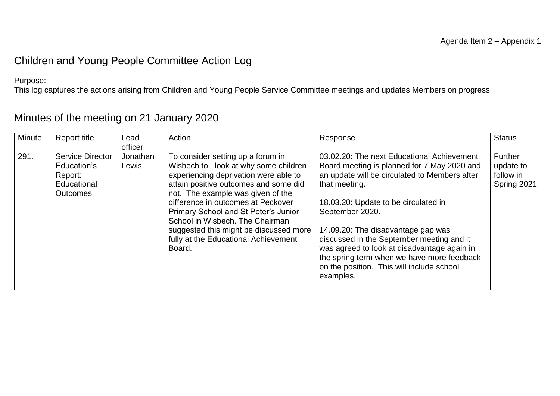#### Children and Young People Committee Action Log

Purpose:

This log captures the actions arising from Children and Young People Service Committee meetings and updates Members on progress.

| Minute | Report title                                                                 | Lead              | Action                                                                                                                                                                                                                                                                                                                                                                                                        | Response                                                                                                                                                                                                                                                                                                                                                                                                                                                         | <b>Status</b>                                           |
|--------|------------------------------------------------------------------------------|-------------------|---------------------------------------------------------------------------------------------------------------------------------------------------------------------------------------------------------------------------------------------------------------------------------------------------------------------------------------------------------------------------------------------------------------|------------------------------------------------------------------------------------------------------------------------------------------------------------------------------------------------------------------------------------------------------------------------------------------------------------------------------------------------------------------------------------------------------------------------------------------------------------------|---------------------------------------------------------|
|        |                                                                              | officer           |                                                                                                                                                                                                                                                                                                                                                                                                               |                                                                                                                                                                                                                                                                                                                                                                                                                                                                  |                                                         |
| 291.   | Service Director<br>Education's<br>Report:<br>Educational<br><b>Outcomes</b> | Jonathan<br>Lewis | To consider setting up a forum in<br>Wisbech to look at why some children<br>experiencing deprivation were able to<br>attain positive outcomes and some did<br>not. The example was given of the<br>difference in outcomes at Peckover<br>Primary School and St Peter's Junior<br>School in Wisbech. The Chairman<br>suggested this might be discussed more<br>fully at the Educational Achievement<br>Board. | 03.02.20: The next Educational Achievement<br>Board meeting is planned for 7 May 2020 and<br>an update will be circulated to Members after<br>that meeting.<br>18.03.20: Update to be circulated in<br>September 2020.<br>14.09.20: The disadvantage gap was<br>discussed in the September meeting and it<br>was agreed to look at disadvantage again in<br>the spring term when we have more feedback<br>on the position. This will include school<br>examples. | <b>Further</b><br>update to<br>follow in<br>Spring 2021 |

### Minutes of the meeting on 21 January 2020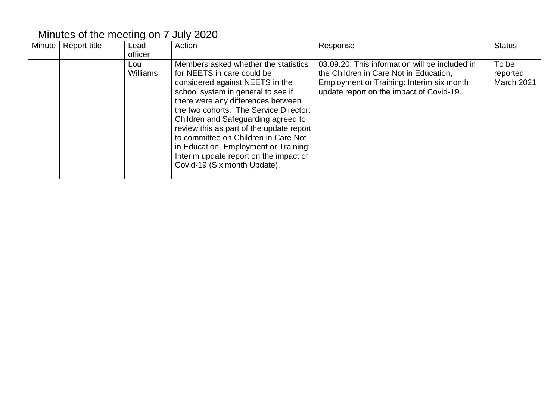### Minutes of the meeting on 7 July 2020

| Minute | <b>Report title</b> | Lead<br>officer        | Action                                                                                                                                                                                                                                                                                                                                                                                                                                                                    | Response                                                                                                                                                                          | <b>Status</b>                   |
|--------|---------------------|------------------------|---------------------------------------------------------------------------------------------------------------------------------------------------------------------------------------------------------------------------------------------------------------------------------------------------------------------------------------------------------------------------------------------------------------------------------------------------------------------------|-----------------------------------------------------------------------------------------------------------------------------------------------------------------------------------|---------------------------------|
|        |                     | Lou<br><b>Williams</b> | Members asked whether the statistics<br>for NEETS in care could be<br>considered against NEETS in the<br>school system in general to see if<br>there were any differences between<br>the two cohorts. The Service Director:<br>Children and Safeguarding agreed to<br>review this as part of the update report<br>to committee on Children in Care Not<br>in Education, Employment or Training:<br>Interim update report on the impact of<br>Covid-19 (Six month Update). | 03.09.20: This information will be included in<br>the Children in Care Not in Education,<br>Employment or Training: Interim six month<br>update report on the impact of Covid-19. | To be<br>reported<br>March 2021 |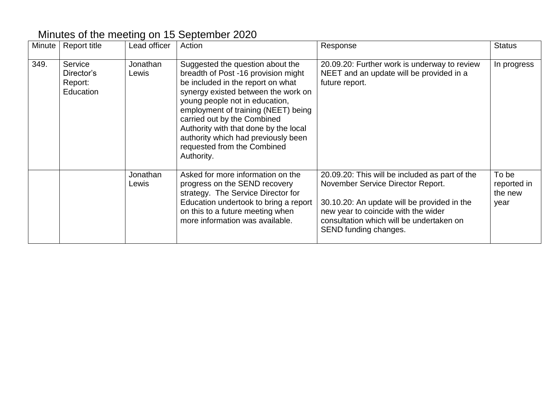# Minutes of the meeting on 15 September 2020

| Minute | <b>Report title</b>                           | Lead officer      | Action                                                                                                                                                                                                                                                                                                                                                                                   | Response                                                                                                                                                                                                                                       | <b>Status</b>                           |
|--------|-----------------------------------------------|-------------------|------------------------------------------------------------------------------------------------------------------------------------------------------------------------------------------------------------------------------------------------------------------------------------------------------------------------------------------------------------------------------------------|------------------------------------------------------------------------------------------------------------------------------------------------------------------------------------------------------------------------------------------------|-----------------------------------------|
| 349.   | Service<br>Director's<br>Report:<br>Education | Jonathan<br>Lewis | Suggested the question about the<br>breadth of Post -16 provision might<br>be included in the report on what<br>synergy existed between the work on<br>young people not in education,<br>employment of training (NEET) being<br>carried out by the Combined<br>Authority with that done by the local<br>authority which had previously been<br>requested from the Combined<br>Authority. | 20.09.20: Further work is underway to review<br>NEET and an update will be provided in a<br>future report.                                                                                                                                     | In progress                             |
|        |                                               | Jonathan<br>Lewis | Asked for more information on the<br>progress on the SEND recovery<br>strategy. The Service Director for<br>Education undertook to bring a report<br>on this to a future meeting when<br>more information was available.                                                                                                                                                                 | 20.09.20: This will be included as part of the<br>November Service Director Report.<br>30.10.20: An update will be provided in the<br>new year to coincide with the wider<br>consultation which will be undertaken on<br>SEND funding changes. | To be<br>reported in<br>the new<br>year |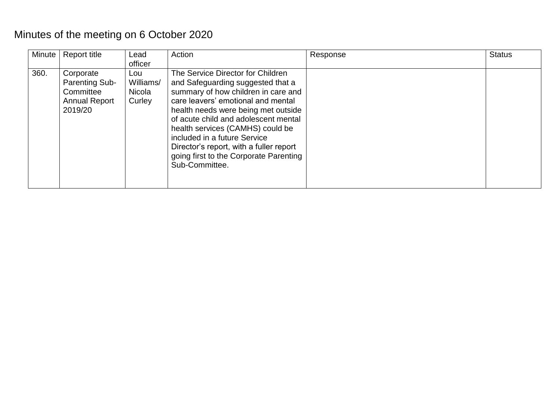# Minutes of the meeting on 6 October 2020

| Minute | Report title                                                                       | Lead<br>officer                      | Action                                                                                                                                                                                                                                                                                                                                                                                                        | Response | <b>Status</b> |
|--------|------------------------------------------------------------------------------------|--------------------------------------|---------------------------------------------------------------------------------------------------------------------------------------------------------------------------------------------------------------------------------------------------------------------------------------------------------------------------------------------------------------------------------------------------------------|----------|---------------|
| 360.   | Corporate<br><b>Parenting Sub-</b><br>Committee<br><b>Annual Report</b><br>2019/20 | Lou<br>Williams/<br>Nicola<br>Curley | The Service Director for Children<br>and Safeguarding suggested that a<br>summary of how children in care and<br>care leavers' emotional and mental<br>health needs were being met outside<br>of acute child and adolescent mental<br>health services (CAMHS) could be<br>included in a future Service<br>Director's report, with a fuller report<br>going first to the Corporate Parenting<br>Sub-Committee. |          |               |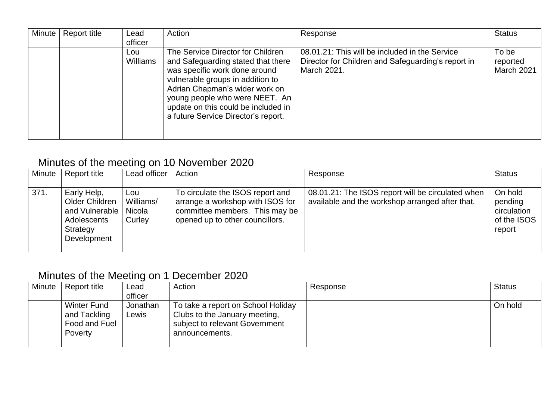| Minute | Report title | Lead<br>officer | Action                                                                                                                                                                                                                                                                                         | Response                                                                                                            | <b>Status</b>                   |
|--------|--------------|-----------------|------------------------------------------------------------------------------------------------------------------------------------------------------------------------------------------------------------------------------------------------------------------------------------------------|---------------------------------------------------------------------------------------------------------------------|---------------------------------|
|        |              | Lou<br>Williams | The Service Director for Children<br>and Safeguarding stated that there<br>was specific work done around<br>vulnerable groups in addition to<br>Adrian Chapman's wider work on<br>young people who were NEET. An<br>update on this could be included in<br>a future Service Director's report. | 08.01.21: This will be included in the Service<br>Director for Children and Safeguarding's report in<br>March 2021. | To be<br>reported<br>March 2021 |

### Minutes of the meeting on 10 November 2020

| <b>Minute</b> | Report title                                                                              | Lead officer                         | Action                                                                                                                                    | Response                                                                                             | <b>Status</b>                                              |
|---------------|-------------------------------------------------------------------------------------------|--------------------------------------|-------------------------------------------------------------------------------------------------------------------------------------------|------------------------------------------------------------------------------------------------------|------------------------------------------------------------|
| 371.          | Early Help,<br>Older Children<br>and Vulnerable<br>Adolescents<br>Strategy<br>Development | Lou<br>Williams/<br>Nicola<br>Curley | To circulate the ISOS report and<br>arrange a workshop with ISOS for<br>committee members. This may be<br>opened up to other councillors. | 08.01.21: The ISOS report will be circulated when<br>available and the workshop arranged after that. | On hold<br>pending<br>circulation<br>of the ISOS<br>report |

### Minutes of the Meeting on 1 December 2020

| Minute | Report title       | Lead     | Action                             | Response | <b>Status</b> |
|--------|--------------------|----------|------------------------------------|----------|---------------|
|        |                    | officer  |                                    |          |               |
|        | <b>Winter Fund</b> | Jonathan | To take a report on School Holiday |          | On hold       |
|        | and Tackling       | Lewis    | Clubs to the January meeting,      |          |               |
|        | Food and Fuel      |          | subject to relevant Government     |          |               |
|        | Poverty            |          | announcements.                     |          |               |
|        |                    |          |                                    |          |               |